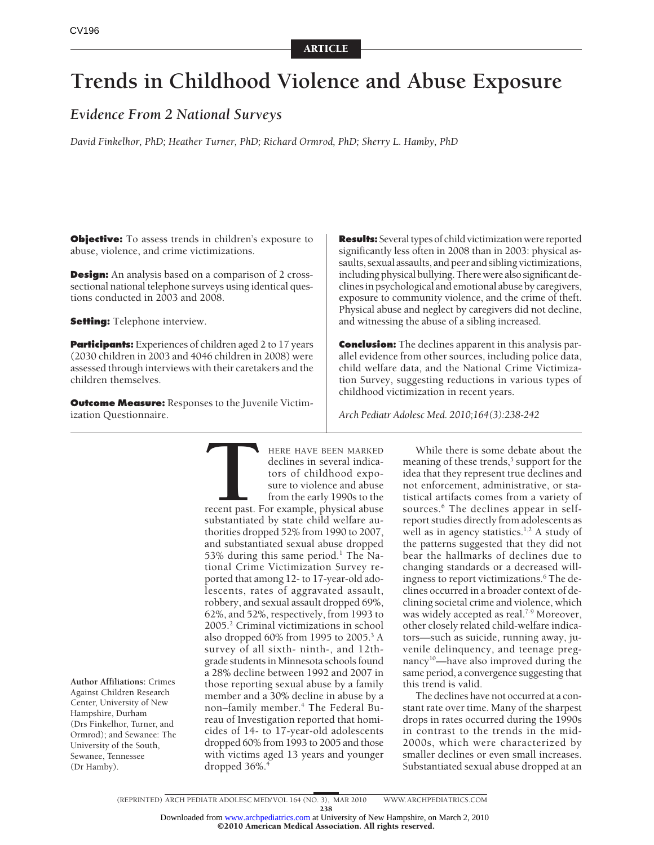# **Trends in Childhood Violence and Abuse Exposure**

# *Evidence From 2 National Surveys*

*David Finkelhor, PhD; Heather Turner, PhD; Richard Ormrod, PhD; Sherry L. Hamby, PhD*

**Objective:** To assess trends in children's exposure to abuse, violence, and crime victimizations.

**Design:** An analysis based on a comparison of 2 crosssectional national telephone surveys using identical questions conducted in 2003 and 2008.

**Setting:** Telephone interview.

**Participants:** Experiences of children aged 2 to 17 years (2030 children in 2003 and 4046 children in 2008) were assessed through interviews with their caretakers and the children themselves.

**Outcome Measure:** Responses to the Juvenile Victimization Questionnaire.

**Results:** Several types of child victimization were reported significantly less often in 2008 than in 2003: physical assaults, sexual assaults, and peer and sibling victimizations, including physical bullying. There were also significant declines in psychological and emotional abuse by caregivers, exposure to community violence, and the crime of theft. Physical abuse and neglect by caregivers did not decline, and witnessing the abuse of a sibling increased.

**Conclusion:** The declines apparent in this analysis parallel evidence from other sources, including police data, child welfare data, and the National Crime Victimization Survey, suggesting reductions in various types of childhood victimization in recent years.

*Arch Pediatr Adolesc Med. 2010;164(3):238-242*

**Author Affiliations:** Crimes Against Children Research Center, University of New Hampshire, Durham (Drs Finkelhor, Turner, and Ormrod); and Sewanee: The University of the South, Sewanee, Tennessee (Dr Hamby).

**THERE HAVE BEEN MARKED**<br>declines in several indica-<br>tors of childhood expo-<br>sure to violence and abuse<br>from the early 1990s to the<br>recent past. For example, physical abuse<br>substantiated by state child welfare audeclines in several indicators of childhood exposure to violence and abuse from the early 1990s to the recent past. For example, physical abuse substantiated by state child welfare authorities dropped 52% from 1990 to 2007, and substantiated sexual abuse dropped 53% during this same period.<sup>1</sup> The National Crime Victimization Survey reported that among 12- to 17-year-old adolescents, rates of aggravated assault, robbery, and sexual assault dropped 69%, 62%, and 52%, respectively, from 1993 to 2005.2 Criminal victimizations in school also dropped 60% from 1995 to 2005.3 A survey of all sixth- ninth-, and 12thgrade students in Minnesota schools found a 28% decline between 1992 and 2007 in those reporting sexual abuse by a family member and a 30% decline in abuse by a non–family member.4 The Federal Bureau of Investigation reported that homicides of 14- to 17-year-old adolescents dropped 60% from 1993 to 2005 and those with victims aged 13 years and younger dropped  $36\%$ <sup>4</sup>

While there is some debate about the meaning of these trends,<sup>5</sup> support for the idea that they represent true declines and not enforcement, administrative, or statistical artifacts comes from a variety of sources.<sup>6</sup> The declines appear in selfreport studies directly from adolescents as well as in agency statistics.<sup>1,2</sup> A study of the patterns suggested that they did not bear the hallmarks of declines due to changing standards or a decreased willingness to report victimizations.<sup>6</sup> The declines occurred in a broader context of declining societal crime and violence, which was widely accepted as real.<sup>7-9</sup> Moreover, other closely related child-welfare indicators—such as suicide, running away, juvenile delinquency, and teenage pregnancy<sup>10</sup>—have also improved during the same period, a convergence suggesting that this trend is valid.

The declines have not occurred at a constant rate over time. Many of the sharpest drops in rates occurred during the 1990s in contrast to the trends in the mid-2000s, which were characterized by smaller declines or even small increases. Substantiated sexual abuse dropped at an

©2010 American Medical Association. All rights reserved.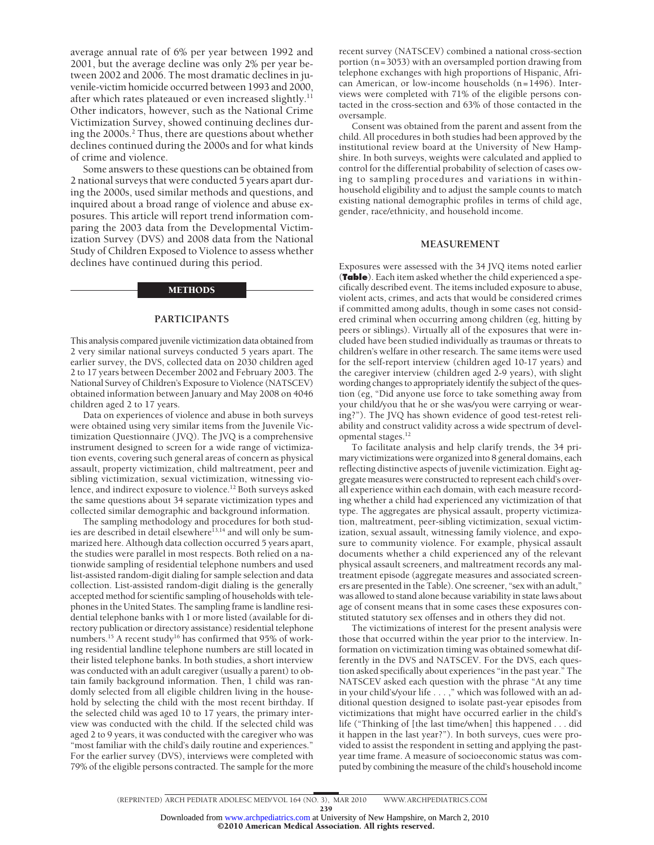average annual rate of 6% per year between 1992 and 2001, but the average decline was only 2% per year between 2002 and 2006. The most dramatic declines in juvenile-victim homicide occurred between 1993 and 2000, after which rates plateaued or even increased slightly.<sup>11</sup> Other indicators, however, such as the National Crime Victimization Survey, showed continuing declines during the 2000s.<sup>2</sup> Thus, there are questions about whether declines continued during the 2000s and for what kinds of crime and violence.

Some answers to these questions can be obtained from 2 national surveys that were conducted 5 years apart during the 2000s, used similar methods and questions, and inquired about a broad range of violence and abuse exposures. This article will report trend information comparing the 2003 data from the Developmental Victimization Survey (DVS) and 2008 data from the National Study of Children Exposed to Violence to assess whether declines have continued during this period.

#### METHODS

## **PARTICIPANTS**

This analysis compared juvenile victimization data obtained from 2 very similar national surveys conducted 5 years apart. The earlier survey, the DVS, collected data on 2030 children aged 2 to 17 years between December 2002 and February 2003. The National Survey of Children's Exposure to Violence (NATSCEV) obtained information between January and May 2008 on 4046 children aged 2 to 17 years.

Data on experiences of violence and abuse in both surveys were obtained using very similar items from the Juvenile Victimization Questionnaire (JVQ). The JVQ is a comprehensive instrument designed to screen for a wide range of victimization events, covering such general areas of concern as physical assault, property victimization, child maltreatment, peer and sibling victimization, sexual victimization, witnessing violence, and indirect exposure to violence.<sup>12</sup> Both surveys asked the same questions about 34 separate victimization types and collected similar demographic and background information.

The sampling methodology and procedures for both studies are described in detail elsewhere<sup>13,14</sup> and will only be summarized here. Although data collection occurred 5 years apart, the studies were parallel in most respects. Both relied on a nationwide sampling of residential telephone numbers and used list-assisted random-digit dialing for sample selection and data collection. List-assisted random-digit dialing is the generally accepted method for scientific sampling of households with telephones in the United States. The sampling frame is landline residential telephone banks with 1 or more listed (available for directory publication or directory assistance) residential telephone numbers.<sup>15</sup> A recent study<sup>16</sup> has confirmed that 95% of working residential landline telephone numbers are still located in their listed telephone banks. In both studies, a short interview was conducted with an adult caregiver (usually a parent) to obtain family background information. Then, 1 child was randomly selected from all eligible children living in the household by selecting the child with the most recent birthday. If the selected child was aged 10 to 17 years, the primary interview was conducted with the child. If the selected child was aged 2 to 9 years, it was conducted with the caregiver who was "most familiar with the child's daily routine and experiences." For the earlier survey (DVS), interviews were completed with 79% of the eligible persons contracted. The sample for the more recent survey (NATSCEV) combined a national cross-section portion (n=3053) with an oversampled portion drawing from telephone exchanges with high proportions of Hispanic, African American, or low-income households (n=1496). Interviews were completed with 71% of the eligible persons contacted in the cross-section and 63% of those contacted in the oversample.

Consent was obtained from the parent and assent from the child. All procedures in both studies had been approved by the institutional review board at the University of New Hampshire. In both surveys, weights were calculated and applied to control for the differential probability of selection of cases owing to sampling procedures and variations in withinhousehold eligibility and to adjust the sample counts to match existing national demographic profiles in terms of child age, gender, race/ethnicity, and household income.

# **MEASUREMENT**

Exposures were assessed with the 34 JVQ items noted earlier (**Table**). Each item asked whether the child experienced a specifically described event. The items included exposure to abuse, violent acts, crimes, and acts that would be considered crimes if committed among adults, though in some cases not considered criminal when occurring among children (eg, hitting by peers or siblings). Virtually all of the exposures that were included have been studied individually as traumas or threats to children's welfare in other research. The same items were used for the self-report interview (children aged 10-17 years) and the caregiver interview (children aged 2-9 years), with slight wording changes to appropriately identify the subject of the question (eg, "Did anyone use force to take something away from your child/you that he or she was/you were carrying or wearing?"). The JVQ has shown evidence of good test-retest reliability and construct validity across a wide spectrum of developmental stages.12

To facilitate analysis and help clarify trends, the 34 primary victimizations were organized into 8 general domains, each reflecting distinctive aspects of juvenile victimization. Eight aggregate measures were constructed to represent each child's overall experience within each domain, with each measure recording whether a child had experienced any victimization of that type. The aggregates are physical assault, property victimization, maltreatment, peer-sibling victimization, sexual victimization, sexual assault, witnessing family violence, and exposure to community violence. For example, physical assault documents whether a child experienced any of the relevant physical assault screeners, and maltreatment records any maltreatment episode (aggregate measures and associated screeners are presented in the Table). One screener, "sex with an adult," was allowed to stand alone because variability in state laws about age of consent means that in some cases these exposures constituted statutory sex offenses and in others they did not.

The victimizations of interest for the present analysis were those that occurred within the year prior to the interview. Information on victimization timing was obtained somewhat differently in the DVS and NATSCEV. For the DVS, each question asked specifically about experiences "in the past year." The NATSCEV asked each question with the phrase "At any time in your child's/your life . . . ," which was followed with an additional question designed to isolate past-year episodes from victimizations that might have occurred earlier in the child's life ("Thinking of [the last time/when] this happened . . . did it happen in the last year?"). In both surveys, cues were provided to assist the respondent in setting and applying the pastyear time frame. A measure of socioeconomic status was computed by combining the measure of the child's household income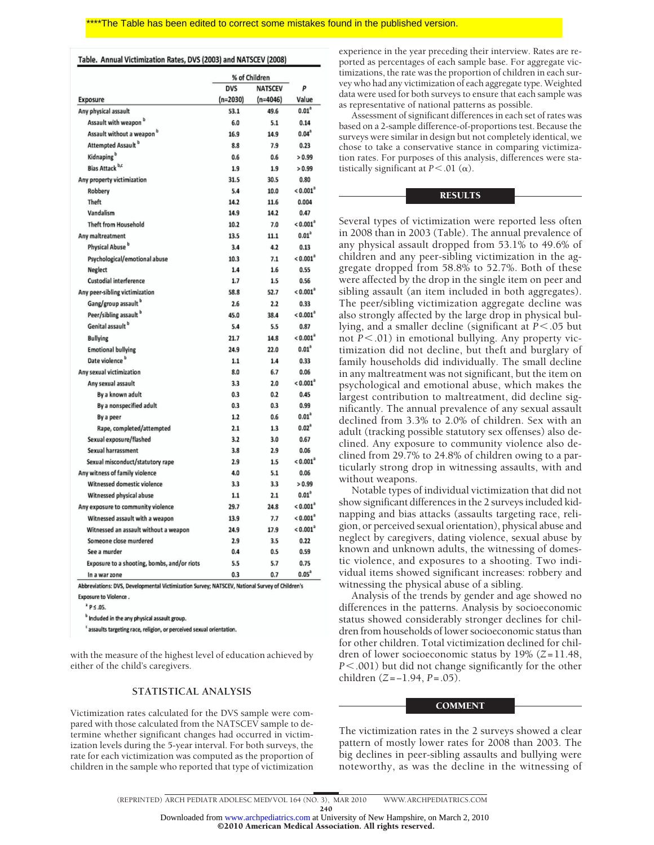#### Table. Annual Victimization Rates, DVS (2003) and NATSCEV (2008)

|                                             | % of Children |                |                        |
|---------------------------------------------|---------------|----------------|------------------------|
|                                             | <b>DVS</b>    | <b>NATSCEV</b> | p                      |
| Exposure                                    | $(n=2030)$    | $(n=4046)$     | Value                  |
| Any physical assault                        | 53.1          | 49.6           | $0.01^h$               |
| Assault with weapon <sup>b</sup>            | 6.0           | 5.1            | 0.14                   |
| Assault without a weapon <sup>b</sup>       | 16.9          | 14.9           | $0.04^{3}$             |
| Attempted Assault <sup>b</sup>              | 8.8           | 7.9            | 0.23                   |
| Kidnaping <sup>b</sup>                      | 0.6           | 0.6            | > 0.99                 |
| Bias Attack b,c                             | 1.9           | 1.9            | > 0.99                 |
| Any property victimization                  | 31.5          | 30.5           | 0.80                   |
| Robbery                                     | 5.4           | 10.0           | $< 0.001$ <sup>2</sup> |
| Theft                                       | 14.2          | 11.6           | 0.004                  |
| Vandalism                                   | 14.9          | 14.2           | 0.47                   |
| <b>Theft from Household</b>                 | 10.2          | 7.0            | $< 0.001^{\circ}$      |
| Any maltreatment                            | 13.5          | 11.1           | $0.01^3$               |
| Physical Abuse <sup>b</sup>                 | 3.4           | 4.2            | 0.13                   |
| Psychological/emotional abuse               | 10.3          | 7.1            | $< 0.001^{\circ}$      |
| Neglect                                     | 1.4           | 1.6            | 0.55                   |
| Custodial interference                      | 1.7           | 1.5            | 0.56                   |
| Any peer-sibling victimization              | 58.8          | 52.7           | $< 0.001$ <sup>a</sup> |
| Gang/group assault <sup>b</sup>             | 2.6           | 2.2            | 0.33                   |
| Peer/sibling assault b                      | 45.0          | 38.4           | $< 0.001^3$            |
| Genital assault <sup>b</sup>                | 5.4           | 5.5            | 0.87                   |
| <b>Bullying</b>                             | 21.7          | 14.8           | < 0.001 <sup>2</sup>   |
| <b>Emotional bullying</b>                   | 24.9          | 22.0           | $0.01^a$               |
| Date violence <sup>b</sup>                  | 1.1           | 1.4            | 0.33                   |
| Any sexual victimization                    | 8.0           | 6.7            | 0.06                   |
| Any sexual assault                          | 3.3           | 2.0            | < 0.001 <sup>2</sup>   |
| By a known adult                            | 0.3           | 0.2            | 0.45                   |
| By a nonspecified adult                     | 0.3           | 0.3            | 0.99                   |
| By a peer                                   | 1.2           | 0.6            | $0.01^a$               |
| Rape, completed/attempted                   | 2.1           | 1.3            | 0.02 <sup>8</sup>      |
| Sexual exposure/flashed                     | 3.2           | 3.0            | 0.67                   |
| Sexual harrassment                          | 3.8           | 2.9            | 0.06                   |
| Sexual misconduct/statutory rape            | 2.9           | 1.5            | < 0.001 <sup>2</sup>   |
| Any witness of family violence              | 4.0           | 5.1            | 0.06                   |
| Witnessed domestic violence                 | 3.3           | 3.3            | > 0.99                 |
| Witnessed physical abuse                    | 1.1           | 2.1            | $0.01^a$               |
| Any exposure to community violence          | 29.7          | 24.8           | < 0.001 <sup>2</sup>   |
| Witnessed assault with a weapon             | 13.9          | 7.7            | $< 0.001$ <sup>a</sup> |
| Witnessed an assault without a weapon       | 24.9          | 17.9           | < 0.001 <sup>2</sup>   |
| Someone close murdered                      | 2.9           | 3.5            | 0.22                   |
| See a murder                                | 0.4           | 0.5            | 0.59                   |
| Exposure to a shooting, bombs, and/or riots | 5.5           | 5.7            | 0.75                   |
| In a war zone                               | 0.3           | 0.7            | $0.05^{a}$             |

Abbreviations: DVS, Developmental Victimization Survey; NATSCEV, National Survey of Children's Exposure to Violence. *P*  $\leq$  0.05.

**b** Included in the any physical assault group.

<sup>t</sup> assaults targeting race, religion, or perceived sexual orientation.

with the measure of the highest level of education achieved by either of the child's caregivers.

# **STATISTICAL ANALYSIS**

Victimization rates calculated for the DVS sample were compared with those calculated from the NATSCEV sample to determine whether significant changes had occurred in victimization levels during the 5-year interval. For both surveys, the rate for each victimization was computed as the proportion of children in the sample who reported that type of victimization

experience in the year preceding their interview. Rates are reported as percentages of each sample base. For aggregate victimizations, the rate was the proportion of children in each survey who had any victimization of each aggregate type. Weighted data were used for both surveys to ensure that each sample was as representative of national patterns as possible.

Assessment of significant differences in each set of rates was based on a 2-sample difference-of-proportions test. Because the surveys were similar in design but not completely identical, we chose to take a conservative stance in comparing victimization rates. For purposes of this analysis, differences were statistically significant at  $P < .01$  ( $\alpha$ ).

# RESULTS

Several types of victimization were reported less often in 2008 than in 2003 (Table). The annual prevalence of any physical assault dropped from 53.1% to 49.6% of children and any peer-sibling victimization in the aggregate dropped from 58.8% to 52.7%. Both of these were affected by the drop in the single item on peer and sibling assault (an item included in both aggregates). The peer/sibling victimization aggregate decline was also strongly affected by the large drop in physical bullying, and a smaller decline (significant at  $P < 0.05$  but not *P*-.01) in emotional bullying. Any property victimization did not decline, but theft and burglary of family households did individually. The small decline in any maltreatment was not significant, but the item on psychological and emotional abuse, which makes the largest contribution to maltreatment, did decline significantly. The annual prevalence of any sexual assault declined from 3.3% to 2.0% of children. Sex with an adult (tracking possible statutory sex offenses) also declined. Any exposure to community violence also declined from 29.7% to 24.8% of children owing to a particularly strong drop in witnessing assaults, with and without weapons.

Notable types of individual victimization that did not show significant differences in the 2 surveys included kidnapping and bias attacks (assaults targeting race, religion, or perceived sexual orientation), physical abuse and neglect by caregivers, dating violence, sexual abuse by known and unknown adults, the witnessing of domestic violence, and exposures to a shooting. Two individual items showed significant increases: robbery and witnessing the physical abuse of a sibling.

Analysis of the trends by gender and age showed no differences in the patterns. Analysis by socioeconomic status showed considerably stronger declines for children from households of lower socioeconomic status than for other children. Total victimization declined for children of lower socioeconomic status by 19% (*Z*=11.48, *P*-.001) but did not change significantly for the other children (*Z*=−1.94, *P*=.05).

#### COMMENT

The victimization rates in the 2 surveys showed a clear pattern of mostly lower rates for 2008 than 2003. The big declines in peer-sibling assaults and bullying were noteworthy, as was the decline in the witnessing of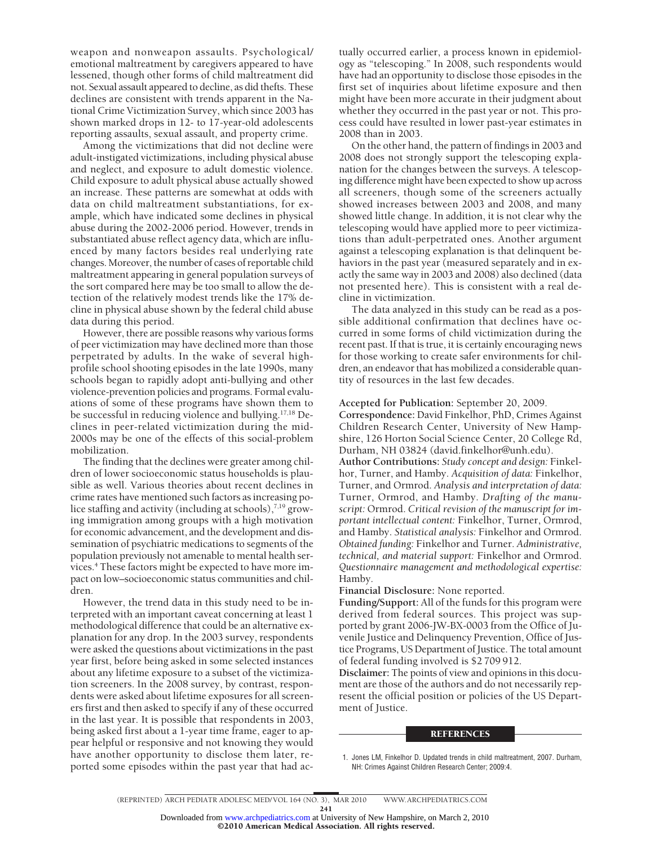weapon and nonweapon assaults. Psychological/ emotional maltreatment by caregivers appeared to have lessened, though other forms of child maltreatment did not. Sexual assault appeared to decline, as did thefts. These declines are consistent with trends apparent in the National Crime Victimization Survey, which since 2003 has shown marked drops in 12- to 17-year-old adolescents reporting assaults, sexual assault, and property crime.

Among the victimizations that did not decline were adult-instigated victimizations, including physical abuse and neglect, and exposure to adult domestic violence. Child exposure to adult physical abuse actually showed an increase. These patterns are somewhat at odds with data on child maltreatment substantiations, for example, which have indicated some declines in physical abuse during the 2002-2006 period. However, trends in substantiated abuse reflect agency data, which are influenced by many factors besides real underlying rate changes. Moreover, the number of cases of reportable child maltreatment appearing in general population surveys of the sort compared here may be too small to allow the detection of the relatively modest trends like the 17% decline in physical abuse shown by the federal child abuse data during this period.

However, there are possible reasons why various forms of peer victimization may have declined more than those perpetrated by adults. In the wake of several highprofile school shooting episodes in the late 1990s, many schools began to rapidly adopt anti-bullying and other violence-prevention policies and programs. Formal evaluations of some of these programs have shown them to be successful in reducing violence and bullying.<sup>17,18</sup> Declines in peer-related victimization during the mid-2000s may be one of the effects of this social-problem mobilization.

The finding that the declines were greater among children of lower socioeconomic status households is plausible as well. Various theories about recent declines in crime rates have mentioned such factors as increasing police staffing and activity (including at schools), $^{7,19}$  growing immigration among groups with a high motivation for economic advancement, and the development and dissemination of psychiatric medications to segments of the population previously not amenable to mental health services.4 These factors might be expected to have more impact on low–socioeconomic status communities and children.

However, the trend data in this study need to be interpreted with an important caveat concerning at least 1 methodological difference that could be an alternative explanation for any drop. In the 2003 survey, respondents were asked the questions about victimizations in the past year first, before being asked in some selected instances about any lifetime exposure to a subset of the victimization screeners. In the 2008 survey, by contrast, respondents were asked about lifetime exposures for all screeners first and then asked to specify if any of these occurred in the last year. It is possible that respondents in 2003, being asked first about a 1-year time frame, eager to appear helpful or responsive and not knowing they would have another opportunity to disclose them later, reported some episodes within the past year that had ac-

tually occurred earlier, a process known in epidemiology as "telescoping." In 2008, such respondents would have had an opportunity to disclose those episodes in the first set of inquiries about lifetime exposure and then might have been more accurate in their judgment about whether they occurred in the past year or not. This process could have resulted in lower past-year estimates in 2008 than in 2003.

On the other hand, the pattern of findings in 2003 and 2008 does not strongly support the telescoping explanation for the changes between the surveys. A telescoping difference might have been expected to show up across all screeners, though some of the screeners actually showed increases between 2003 and 2008, and many showed little change. In addition, it is not clear why the telescoping would have applied more to peer victimizations than adult-perpetrated ones. Another argument against a telescoping explanation is that delinquent behaviors in the past year (measured separately and in exactly the same way in 2003 and 2008) also declined (data not presented here). This is consistent with a real decline in victimization.

The data analyzed in this study can be read as a possible additional confirmation that declines have occurred in some forms of child victimization during the recent past. If that is true, it is certainly encouraging news for those working to create safer environments for children, an endeavor that has mobilized a considerable quantity of resources in the last few decades.

**Accepted for Publication:** September 20, 2009.

**Correspondence:** David Finkelhor, PhD, Crimes Against Children Research Center, University of New Hampshire, 126 Horton Social Science Center, 20 College Rd, Durham, NH 03824 (david.finkelhor@unh.edu). **Author Contributions:** *Study concept and design:* Finkelhor, Turner, and Hamby. *Acquisition of data:* Finkelhor, Turner, and Ormrod. *Analysis and interpretation of data:* Turner, Ormrod, and Hamby. *Drafting of the manuscript:* Ormrod. *Critical revision of the manuscript for important intellectual content:* Finkelhor, Turner, Ormrod, and Hamby. *Statistical analysis:* Finkelhor and Ormrod. *Obtained funding:* Finkelhor and Turner. *Administrative, technical, and material support:* Finkelhor and Ormrod. *Questionnaire management and methodological expertise:* Hamby.

**Financial Disclosure:** None reported.

**Funding/Support:** All of the funds for this program were derived from federal sources. This project was supported by grant 2006-JW-BX-0003 from the Office of Juvenile Justice and Delinquency Prevention, Office of Justice Programs, US Department of Justice. The total amount of federal funding involved is \$2 709 912.

**Disclaimer:** The points of view and opinions in this document are those of the authors and do not necessarily represent the official position or policies of the US Department of Justice.

#### **REFERENCES**

©2010 American Medical Association. All rights reserved.

<sup>1.</sup> Jones LM, Finkelhor D. Updated trends in child maltreatment, 2007. Durham, NH: Crimes Against Children Research Center; 2009:4.